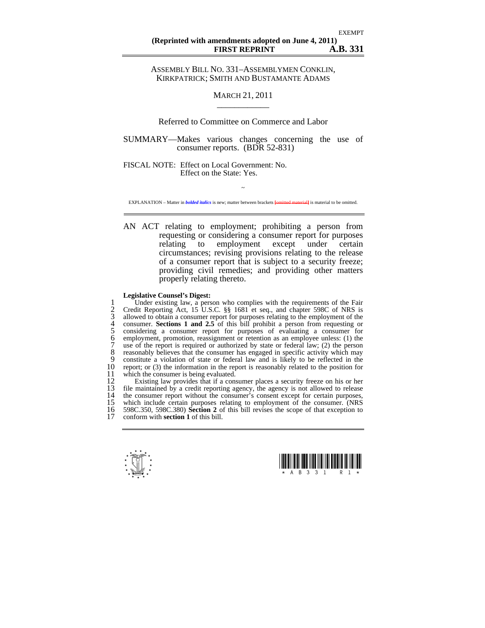ASSEMBLY BILL NO. 331–ASSEMBLYMEN CONKLIN, KIRKPATRICK; SMITH AND BUSTAMANTE ADAMS

## MARCH 21, 2011  $\overline{\phantom{a}}$  , where  $\overline{\phantom{a}}$

## Referred to Committee on Commerce and Labor

SUMMARY—Makes various changes concerning the use of consumer reports. (BDR 52-831)

FISCAL NOTE: Effect on Local Government: No. Effect on the State: Yes.

 $\sim$ EXPLANATION – Matter in *bolded italics* is new; matter between brackets **[**omitted material**]** is material to be omitted.

AN ACT relating to employment; prohibiting a person from requesting or considering a consumer report for purposes<br>relating to employment except under certain employment except under certain circumstances; revising provisions relating to the release of a consumer report that is subject to a security freeze; providing civil remedies; and providing other matters properly relating thereto.

## **Legislative Counsel's Digest:**

1 Under existing law, a person who complies with the requirements of the Fair<br>
2 Credit Reporting Act, 15 U.S.C. §§ 1681 et seq., and chapter 598C of NRS is<br>
3 allowed to obtain a consumer report for purposes relating to t 2 Credit Reporting Act, 15 U.S.C. §§ 1681 et seq., and chapter 598C of NRS is 3 allowed to obtain a consumer report for purposes relating to the employment of the 4 consumer. **Sections 1 and 2.5** of this bill prohibit a person from requesting or 5 considering a consumer report for purposes of evaluating a consumer for 6 employment, promotion, reassignment or retention as an employee unless: (1) the use of the report is required or authorized by state or federal law; (2) the person 8 reasonably believes that the consumer has engaged in specific activity which may<br>9 constitute a violation of state or federal law and is likely to be reflected in the 9 constitute a violation of state or federal law and is likely to be reflected in the 10 report; or (3) the information in the report is reasonably related to the position for 11 which the consumer is being evaluated. 11 which the consumer is being evaluated.<br>12 Existing law provides that if a con-

12 Existing law provides that if a consumer places a security freeze on his or her 13 file maintained by a credit reporting agency, the agency is not allowed to release  $14$  the consumer report without the consumer's consent except for certain purposes. 14 the consumer report without the consumer's consent except for certain purposes,<br>15 which include certain purposes relating to employment of the consumer. (NRS 15 which include certain purposes relating to employment of the consumer. (NRS<br>16 598C.350, 598C.380) **Section 2** of this bill revises the scope of that exception to 16 598C.350, 598C.380) **Section 2** of this bill revises the scope of that exception to<br>17 conform with **section 1** of this bill conform with **section 1** of this bill.



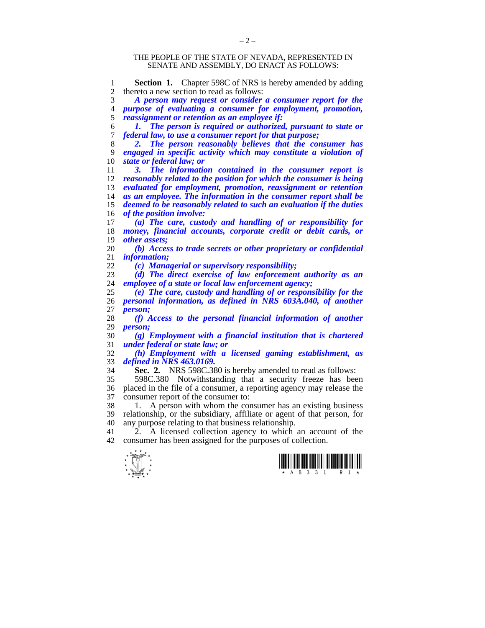## THE PEOPLE OF THE STATE OF NEVADA, REPRESENTED IN SENATE AND ASSEMBLY, DO ENACT AS FOLLOWS:

1 **Section 1.** Chapter 598C of NRS is hereby amended by adding<br>2 thereto a new section to read as follows: 2 thereto a new section to read as follows:

*A person may request or consider a consumer report for the purpose of evaluating a consumer for employment, promotion, reassignment or retention as an employee if:* 

*1. The person is required or authorized, pursuant to state or federal law, to use a consumer report for that purpose;* 

*2. The person reasonably believes that the consumer has engaged in specific activity which may constitute a violation of state or federal law; or* 

*3. The information contained in the consumer report is reasonably related to the position for which the consumer is being evaluated for employment, promotion, reassignment or retention as an employee. The information in the consumer report shall be deemed to be reasonably related to such an evaluation if the duties of the position involve:* 

*(a) The care, custody and handling of or responsibility for money, financial accounts, corporate credit or debit cards, or other assets;* 

*(b) Access to trade secrets or other proprietary or confidential information:* 

*(c) Managerial or supervisory responsibility;* 

*(d) The direct exercise of law enforcement authority as an employee of a state or local law enforcement agency;* 

*(e) The care, custody and handling of or responsibility for the personal information, as defined in NRS 603A.040, of another person:* 

*(f) Access to the personal financial information of another*   $person:$ 

*(g) Employment with a financial institution that is chartered under federal or state law; or* 

*(h) Employment with a licensed gaming establishment, as defined in NRS 463.0169.* 

**Sec. 2.** NRS 598C.380 is hereby amended to read as follows:

35 598C.380 Notwithstanding that a security freeze has been 36 placed in the file of a consumer, a reporting agency may release the 37 consumer report of the consumer to:<br>38 1 A person with whom the con-

1. A person with whom the consumer has an existing business 39 relationship, or the subsidiary, affiliate or agent of that person, for 40 any purpose relating to that business relationship.<br>41  $\rightarrow$  A licensed collection agency to which

2. A licensed collection agency to which an account of the 42 consumer has been assigned for the purposes of collection.



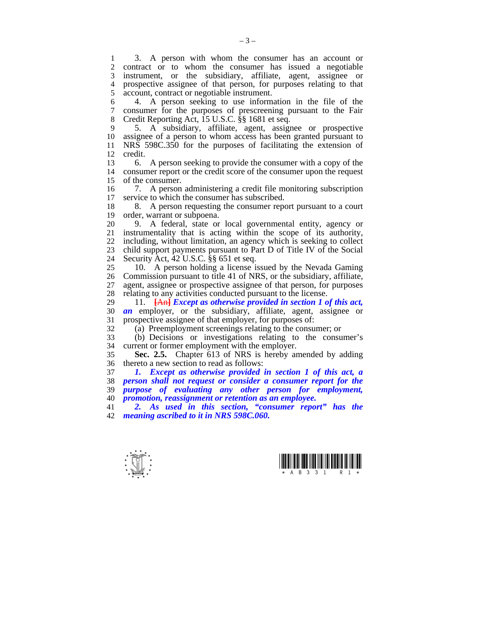1 3. A person with whom the consumer has an account or<br>2 contract or to whom the consumer has issued a negotiable 2 contract or to whom the consumer has issued a negotiable<br>3 instrument, or the subsidiary, affiliate, agent, assignee or 3 instrument, or the subsidiary, affiliate, agent, assignee or 4 prospective assignee of that person, for purposes relating to that 5 account contract or negotiable instrument. account, contract or negotiable instrument.

6 4. A person seeking to use information in the file of the consumer for the purposes of prescreening pursuant to the Fair 8 Credit Reporting Act, 15 U.S.C. §§ 1681 et seq.

9 5. A subsidiary, affiliate, agent, assignee or prospective assignee of a person to whom access has been granted pursuant to 11 NRS 598C.350 for the purposes of facilitating the extension of 12 credit.<br> $\frac{13}{6}$ 

13 6. A person seeking to provide the consumer with a copy of the 14 consumer report or the credit score of the consumer upon the request 15 of the consumer.

16 7. A person administering a credit file monitoring subscription<br>17 service to which the consumer has subscribed. service to which the consumer has subscribed.

18 8. A person requesting the consumer report pursuant to a court order, warrant or subpoena. order, warrant or subpoena.

20 9. A federal, state or local governmental entity, agency or 21 instrumentality that is acting within the scope of its authority,<br>22 including without limitation, an agency which is seeking to collect including, without limitation, an agency which is seeking to collect 23 child support payments pursuant to Part D of Title IV of the Social 24 Security Act,  $42 \text{ U.S.C. }$ §§ 651 et seq.<br>25 10 A person holding a license is

10. A person holding a license issued by the Nevada Gaming 26 Commission pursuant to title 41 of NRS, or the subsidiary, affiliate, 27 agent, assignee or prospective assignee of that person, for purposes relating to any activities conducted pursuant to the license. relating to any activities conducted pursuant to the license.

29 11. **[**An**]** *Except as otherwise provided in section 1 of this act,*  30 **an** employer, or the subsidiary, affiliate, agent, assignee or prospective assignee of that employer, for purposes of: prospective assignee of that employer, for purposes of:

32 (a) Preemployment screenings relating to the consumer; or

33 (b) Decisions or investigations relating to the consumer's current or former employment with the employer.

35 **Sec. 2.5.** Chapter 613 of NRS is hereby amended by adding 36 thereto a new section to read as follows:<br>37  $\blacksquare$  Except as otherwise provided in

*1. Except as otherwise provided in section 1 of this act, a person shall not request or consider a consumer report for the purpose of evaluating any other person for employment, promotion, reassignment or retention as an employee.* 

41 *2. As used in this section, "consumer report" has the*  42 *meaning ascribed to it in NRS 598C.060.*